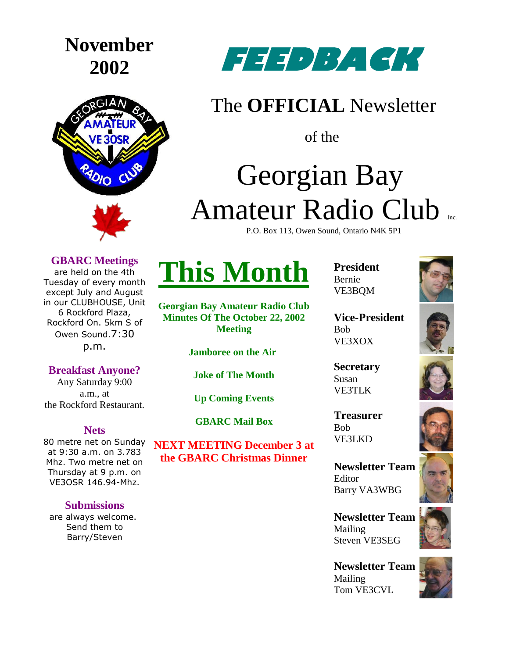# **November**





## **FEEDBACK**

### The **OFFICIAL** Newsletter

of the

## Georgian Bay Amateur Radio Club

P.O. Box 113, Owen Sound, Ontario N4K 5P1

#### **GBARC Meetings**

are held on the 4th Tuesday of every month except July and August in our CLUBHOUSE, Unit 6 Rockford Plaza, Rockford On. 5km S of Owen Sound.7:30 p.m.

#### **Breakfast Anyone?**

Any Saturday 9:00 a.m., at the Rockford Restaurant.

#### **Nets**

80 metre net on Sunday at 9:30 a.m. on 3.783 Mhz. Two metre net on Thursday at 9 p.m. on VE3OSR 146.94-Mhz.

#### **Submissions**

are always welcome. Send them to Barry/Steven

## **This Month**

**Georgian Bay Amateur Radio Club Minutes Of The October 22, 2002 Meeting**

**Jamboree on the Air**

**Joke of The Month**

**Up Coming Events**

**GBARC Mail Box**

**NEXT MEETING December 3 at the GBARC Christmas Dinner**

**President** Bernie VE3BQM



**Vice-President** Bob VE3XOX

**Secretary** Susan VE3TLK

**Treasurer** Bob VE3LKD



**Newsletter Team**  Editor Barry VA3WBG

**Newsletter Team**  Mailing Steven VE3SEG

**Newsletter Team**  Mailing Tom VE3CVL







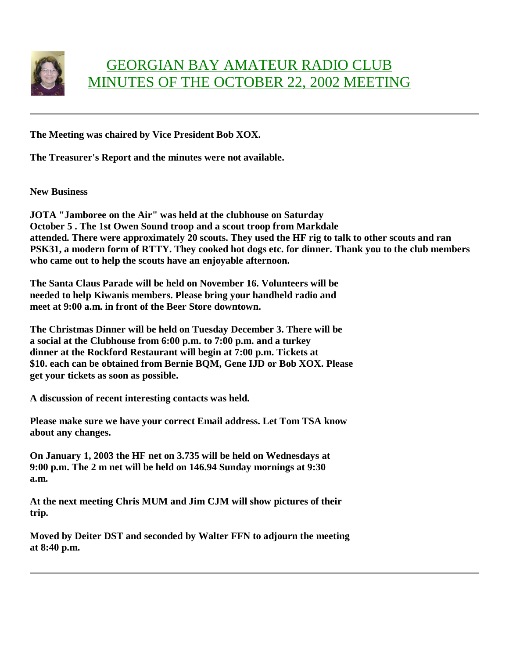

#### GEORGIAN BAY AMATEUR RADIO CLUB MINUTES OF THE OCTOBER 22, 2002 MEETING

**The Meeting was chaired by Vice President Bob XOX.**

**The Treasurer's Report and the minutes were not available.**

**New Business**

**JOTA "Jamboree on the Air" was held at the clubhouse on Saturday October 5 . The 1st Owen Sound troop and a scout troop from Markdale attended. There were approximately 20 scouts. They used the HF rig to talk to other scouts and ran PSK31, a modern form of RTTY. They cooked hot dogs etc. for dinner. Thank you to the club members who came out to help the scouts have an enjoyable afternoon.**

**The Santa Claus Parade will be held on November 16. Volunteers will be needed to help Kiwanis members. Please bring your handheld radio and meet at 9:00 a.m. in front of the Beer Store downtown.**

**The Christmas Dinner will be held on Tuesday December 3. There will be a social at the Clubhouse from 6:00 p.m. to 7:00 p.m. and a turkey dinner at the Rockford Restaurant will begin at 7:00 p.m. Tickets at \$10. each can be obtained from Bernie BQM, Gene IJD or Bob XOX. Please get your tickets as soon as possible.**

**A discussion of recent interesting contacts was held.**

**Please make sure we have your correct Email address. Let Tom TSA know about any changes.**

**On January 1, 2003 the HF net on 3.735 will be held on Wednesdays at 9:00 p.m. The 2 m net will be held on 146.94 Sunday mornings at 9:30 a.m.**

**At the next meeting Chris MUM and Jim CJM will show pictures of their trip.**

**Moved by Deiter DST and seconded by Walter FFN to adjourn the meeting at 8:40 p.m.**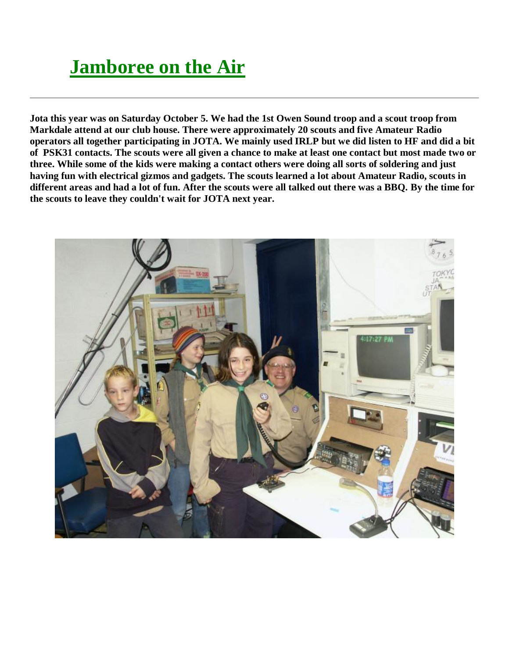### **Jamboree on the Air**

**Jota this year was on Saturday October 5. We had the 1st Owen Sound troop and a scout troop from Markdale attend at our club house. There were approximately 20 scouts and five Amateur Radio operators all together participating in JOTA. We mainly used IRLP but we did listen to HF and did a bit of PSK31 contacts. The scouts were all given a chance to make at least one contact but most made two or three. While some of the kids were making a contact others were doing all sorts of soldering and just having fun with electrical gizmos and gadgets. The scouts learned a lot about Amateur Radio, scouts in different areas and had a lot of fun. After the scouts were all talked out there was a BBQ. By the time for the scouts to leave they couldn't wait for JOTA next year.** 

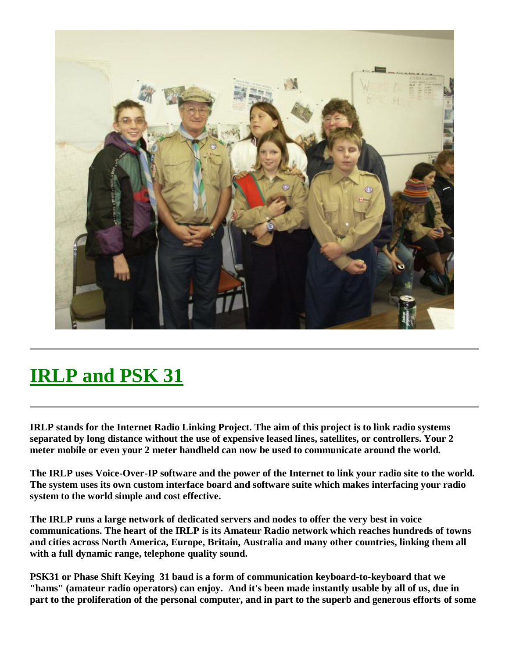

## **IRLP and PSK 31**

**IRLP stands for the Internet Radio Linking Project. The aim of this project is to link radio systems separated by long distance without the use of expensive leased lines, satellites, or controllers. Your 2 meter mobile or even your 2 meter handheld can now be used to communicate around the world.**

**The IRLP uses Voice-Over-IP software and the power of the Internet to link your radio site to the world. The system uses its own custom interface board and software suite which makes interfacing your radio system to the world simple and cost effective.**

**The IRLP runs a large network of dedicated servers and nodes to offer the very best in voice communications. The heart of the IRLP is its Amateur Radio network which reaches hundreds of towns and cities across North America, Europe, Britain, Australia and many other countries, linking them all with a full dynamic range, telephone quality sound.**

**PSK31 or Phase Shift Keying 31 baud is a form of communication keyboard-to-keyboard that we "hams" (amateur radio operators) can enjoy. And it's been made instantly usable by all of us, due in part to the proliferation of the personal computer, and in part to the superb and generous efforts of some**